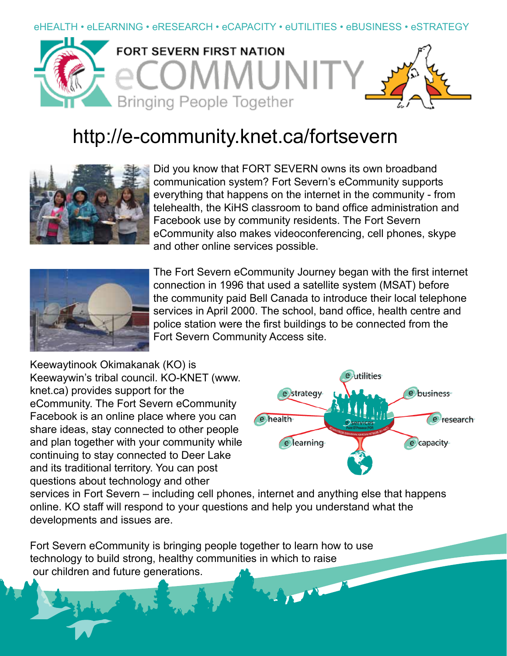## eHEALTH • eLEARNING • eRESEARCH • eCAPACITY • eUTILITIES • eBUSINESS • eSTRATEGY



## http://e-community.knet.ca/fortsevern



Did you know that FORT SEVERN owns its own broadband communication system? Fort Severn's eCommunity supports everything that happens on the internet in the community - from telehealth, the KiHS classroom to band office administration and Facebook use by community residents. The Fort Severn eCommunity also makes videoconferencing, cell phones, skype and other online services possible.



The Fort Severn eCommunity Journey began with the first internet connection in 1996 that used a satellite system (MSAT) before the community paid Bell Canada to introduce their local telephone services in April 2000. The school, band office, health centre and police station were the first buildings to be connected from the Fort Severn Community Access site.

Keewaytinook Okimakanak (KO) is Keewaywin's tribal council. KO-KNET (www. knet.ca) provides support for the eCommunity. The Fort Severn eCommunity Facebook is an online place where you can share ideas, stay connected to other people and plan together with your community while continuing to stay connected to Deer Lake and its traditional territory. You can post questions about technology and other



services in Fort Severn – including cell phones, internet and anything else that happens online. KO staff will respond to your questions and help you understand what the developments and issues are.

Fort Severn eCommunity is bringing people together to learn how to use technology to build strong, healthy communities in which to raise our children and future generations.